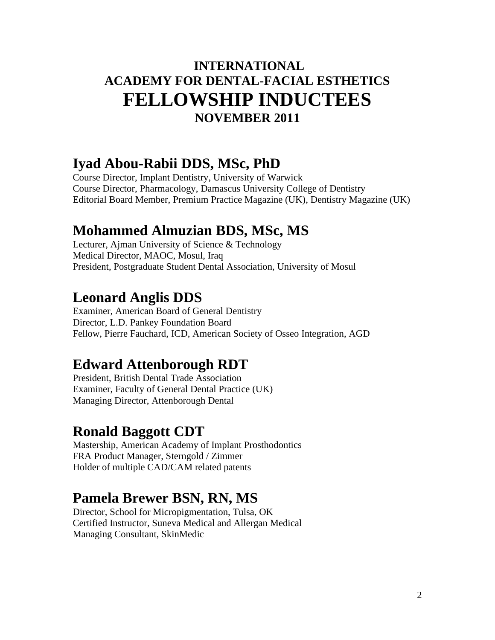#### **INTERNATIONAL ACADEMY FOR DENTAL-FACIAL ESTHETICS FELLOWSHIP INDUCTEES NOVEMBER 2011**

#### **Iyad Abou-Rabii DDS, MSc, PhD**

Course Director, Implant Dentistry, University of Warwick Course Director, Pharmacology, Damascus University College of Dentistry Editorial Board Member, Premium Practice Magazine (UK), Dentistry Magazine (UK)

#### **Mohammed Almuzian BDS, MSc, MS**

Lecturer, Ajman University of Science & Technology Medical Director, MAOC, Mosul, Iraq President, Postgraduate Student Dental Association, University of Mosul

#### **Leonard Anglis DDS**

Examiner, American Board of General Dentistry Director, L.D. Pankey Foundation Board Fellow, Pierre Fauchard, ICD, American Society of Osseo Integration, AGD

### **Edward Attenborough RDT**

President, British Dental Trade Association Examiner, Faculty of General Dental Practice (UK) Managing Director, Attenborough Dental

## **Ronald Baggott CDT**

Mastership, American Academy of Implant Prosthodontics FRA Product Manager, Sterngold / Zimmer Holder of multiple CAD/CAM related patents

### **Pamela Brewer BSN, RN, MS**

Director, School for Micropigmentation, Tulsa, OK Certified Instructor, Suneva Medical and Allergan Medical Managing Consultant, SkinMedic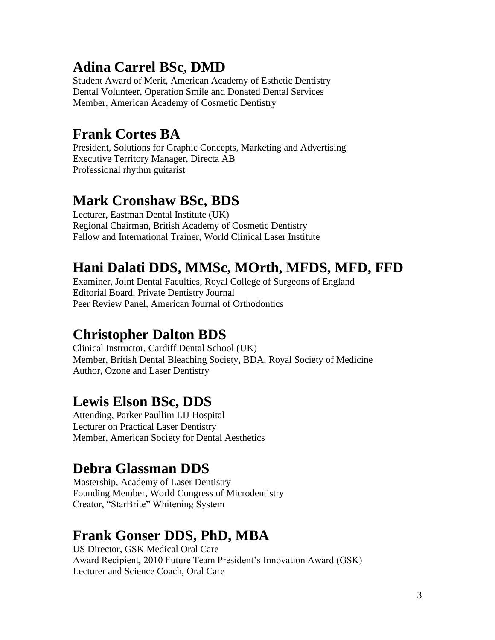# **Adina Carrel BSc, DMD**

Student Award of Merit, American Academy of Esthetic Dentistry Dental Volunteer, Operation Smile and Donated Dental Services Member, American Academy of Cosmetic Dentistry

# **Frank Cortes BA**

President, Solutions for Graphic Concepts, Marketing and Advertising Executive Territory Manager, Directa AB Professional rhythm guitarist

# **Mark Cronshaw BSc, BDS**

Lecturer, Eastman Dental Institute (UK) Regional Chairman, British Academy of Cosmetic Dentistry Fellow and International Trainer, World Clinical Laser Institute

# **Hani Dalati DDS, MMSc, MOrth, MFDS, MFD, FFD**

Examiner, Joint Dental Faculties, Royal College of Surgeons of England Editorial Board, Private Dentistry Journal Peer Review Panel, American Journal of Orthodontics

## **Christopher Dalton BDS**

Clinical Instructor, Cardiff Dental School (UK) Member, British Dental Bleaching Society, BDA, Royal Society of Medicine Author, Ozone and Laser Dentistry

### **Lewis Elson BSc, DDS**

Attending, Parker Paullim LIJ Hospital Lecturer on Practical Laser Dentistry Member, American Society for Dental Aesthetics

## **Debra Glassman DDS**

Mastership, Academy of Laser Dentistry Founding Member, World Congress of Microdentistry Creator, "StarBrite" Whitening System

## **Frank Gonser DDS, PhD, MBA**

US Director, GSK Medical Oral Care Award Recipient, 2010 Future Team President's Innovation Award (GSK) Lecturer and Science Coach, Oral Care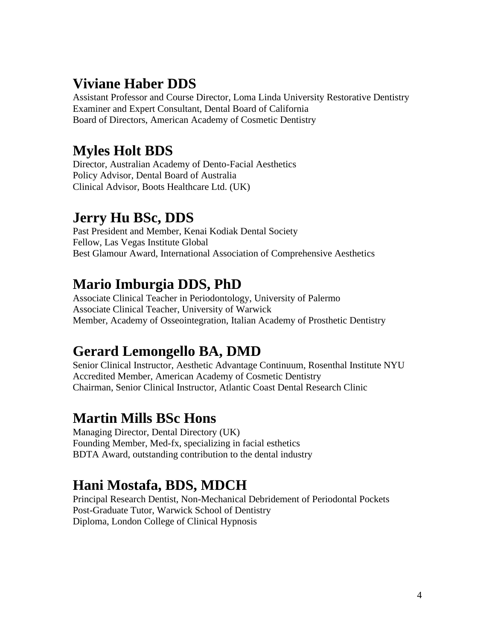## **Viviane Haber DDS**

Assistant Professor and Course Director, Loma Linda University Restorative Dentistry Examiner and Expert Consultant, Dental Board of California Board of Directors, American Academy of Cosmetic Dentistry

# **Myles Holt BDS**

Director, Australian Academy of Dento-Facial Aesthetics Policy Advisor, Dental Board of Australia Clinical Advisor, Boots Healthcare Ltd. (UK)

## **Jerry Hu BSc, DDS**

Past President and Member, Kenai Kodiak Dental Society Fellow, Las Vegas Institute Global Best Glamour Award, International Association of Comprehensive Aesthetics

# **Mario Imburgia DDS, PhD**

Associate Clinical Teacher in Periodontology, University of Palermo Associate Clinical Teacher, University of Warwick Member, Academy of Osseointegration, Italian Academy of Prosthetic Dentistry

# **Gerard Lemongello BA, DMD**

Senior Clinical Instructor, Aesthetic Advantage Continuum, Rosenthal Institute NYU Accredited Member, American Academy of Cosmetic Dentistry Chairman, Senior Clinical Instructor, Atlantic Coast Dental Research Clinic

### **Martin Mills BSc Hons**

Managing Director, Dental Directory (UK) Founding Member, Med-fx, specializing in facial esthetics BDTA Award, outstanding contribution to the dental industry

# **Hani Mostafa, BDS, MDCH**

Principal Research Dentist, Non-Mechanical Debridement of Periodontal Pockets Post-Graduate Tutor, Warwick School of Dentistry Diploma, London College of Clinical Hypnosis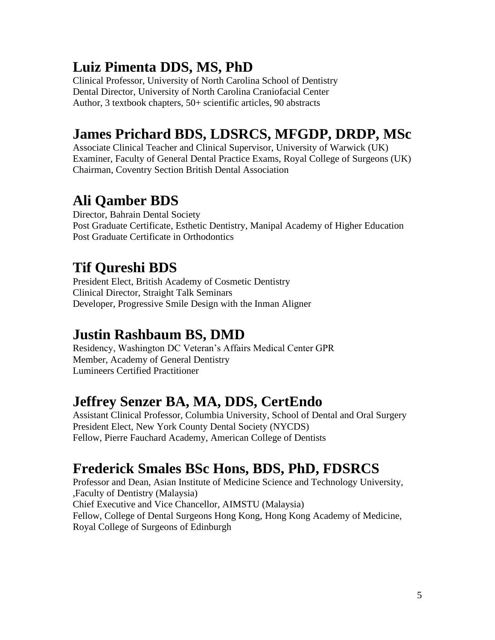## **Luiz Pimenta DDS, MS, PhD**

Clinical Professor, University of North Carolina School of Dentistry Dental Director, University of North Carolina Craniofacial Center Author, 3 textbook chapters, 50+ scientific articles, 90 abstracts

## **James Prichard BDS, LDSRCS, MFGDP, DRDP, MSc**

Associate Clinical Teacher and Clinical Supervisor, University of Warwick (UK) Examiner, Faculty of General Dental Practice Exams, Royal College of Surgeons (UK) Chairman, Coventry Section British Dental Association

## **Ali Qamber BDS**

Director, Bahrain Dental Society Post Graduate Certificate, Esthetic Dentistry, Manipal Academy of Higher Education Post Graduate Certificate in Orthodontics

## **Tif Qureshi BDS**

President Elect, British Academy of Cosmetic Dentistry Clinical Director, Straight Talk Seminars Developer, Progressive Smile Design with the Inman Aligner

### **Justin Rashbaum BS, DMD**

Residency, Washington DC Veteran's Affairs Medical Center GPR Member, Academy of General Dentistry Lumineers Certified Practitioner

### **Jeffrey Senzer BA, MA, DDS, CertEndo**

Assistant Clinical Professor, Columbia University, School of Dental and Oral Surgery President Elect, New York County Dental Society (NYCDS) Fellow, Pierre Fauchard Academy, American College of Dentists

## **Frederick Smales BSc Hons, BDS, PhD, FDSRCS**

Professor and Dean, Asian Institute of Medicine Science and Technology University, ,Faculty of Dentistry (Malaysia) Chief Executive and Vice Chancellor, AIMSTU (Malaysia) Fellow, College of Dental Surgeons Hong Kong, Hong Kong Academy of Medicine, Royal College of Surgeons of Edinburgh